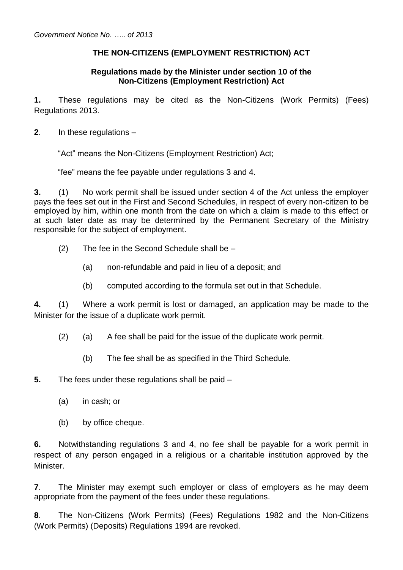## **THE NON-CITIZENS (EMPLOYMENT RESTRICTION) ACT**

#### **Regulations made by the Minister under section 10 of the Non-Citizens (Employment Restriction) Act**

**1.** These regulations may be cited as the Non-Citizens (Work Permits) (Fees) Regulations 2013.

**2**. In these regulations –

"Act" means the Non-Citizens (Employment Restriction) Act;

"fee" means the fee payable under regulations 3 and 4.

**3.** (1) No work permit shall be issued under section 4 of the Act unless the employer pays the fees set out in the First and Second Schedules, in respect of every non-citizen to be employed by him, within one month from the date on which a claim is made to this effect or at such later date as may be determined by the Permanent Secretary of the Ministry responsible for the subject of employment.

- (2) The fee in the Second Schedule shall be
	- (a) non-refundable and paid in lieu of a deposit; and
	- (b) computed according to the formula set out in that Schedule.

**4.** (1) Where a work permit is lost or damaged, an application may be made to the Minister for the issue of a duplicate work permit.

- (2) (a) A fee shall be paid for the issue of the duplicate work permit.
	- (b) The fee shall be as specified in the Third Schedule.

**5.** The fees under these regulations shall be paid –

- (a) in cash; or
- (b) by office cheque.

**6.** Notwithstanding regulations 3 and 4, no fee shall be payable for a work permit in respect of any person engaged in a religious or a charitable institution approved by the Minister.

**7**. The Minister may exempt such employer or class of employers as he may deem appropriate from the payment of the fees under these regulations.

**8**. The Non-Citizens (Work Permits) (Fees) Regulations 1982 and the Non-Citizens (Work Permits) (Deposits) Regulations 1994 are revoked.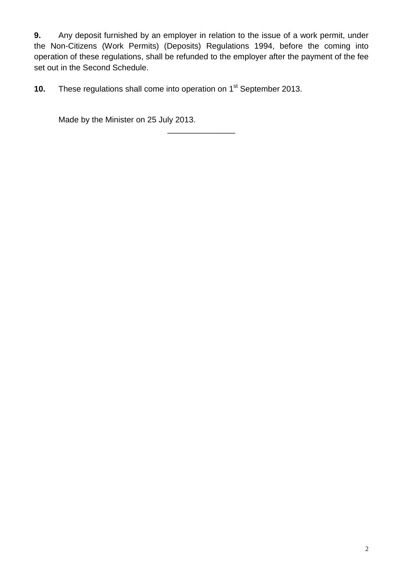**9.** Any deposit furnished by an employer in relation to the issue of a work permit, under the Non-Citizens (Work Permits) (Deposits) Regulations 1994, before the coming into operation of these regulations, shall be refunded to the employer after the payment of the fee set out in the Second Schedule.

\_\_\_\_\_\_\_\_\_\_\_\_\_\_\_

**10.** These regulations shall come into operation on 1<sup>st</sup> September 2013.

Made by the Minister on 25 July 2013.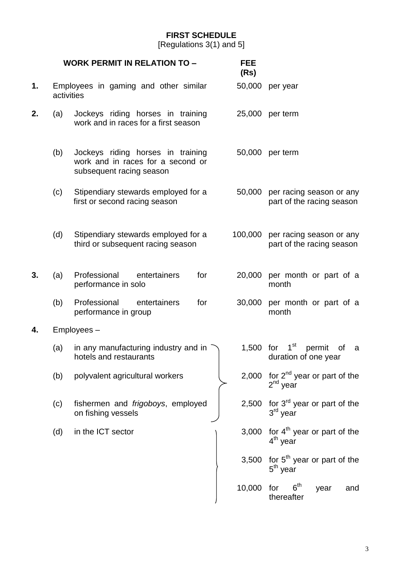## **FIRST SCHEDULE**

[Regulations 3(1) and 5]

|    |            | <b>WORK PERMIT IN RELATION TO -</b>                                                                | <b>FEE</b><br>(Rs) |                                                             |  |
|----|------------|----------------------------------------------------------------------------------------------------|--------------------|-------------------------------------------------------------|--|
| 1. | activities | Employees in gaming and other similar                                                              |                    | 50,000 per year                                             |  |
| 2. | (a)        | Jockeys riding horses in training<br>work and in races for a first season                          |                    | 25,000 per term                                             |  |
|    | (b)        | Jockeys riding horses in training<br>work and in races for a second or<br>subsequent racing season | 50,000             | per term                                                    |  |
|    | (c)        | Stipendiary stewards employed for a<br>first or second racing season                               | 50,000             | per racing season or any<br>part of the racing season       |  |
|    | (d)        | Stipendiary stewards employed for a<br>third or subsequent racing season                           | 100,000            | per racing season or any<br>part of the racing season       |  |
| 3. | (a)        | Professional<br>entertainers<br>for<br>performance in solo                                         | 20,000             | per month or part of a<br>month                             |  |
|    | (b)        | for<br>Professional<br>entertainers<br>performance in group                                        | 30,000             | per month or part of a<br>month                             |  |
| 4. |            | Employees-                                                                                         |                    |                                                             |  |
|    | (a)        | in any manufacturing industry and in<br>hotels and restaurants                                     | 1,500 for          | $1^{\rm st}$<br>permit<br>of<br>a<br>duration of one year   |  |
|    | (b)        | polyvalent agricultural workers                                                                    | 2,000              | for $2^{nd}$ year or part of the<br>$2^{nd}$ year           |  |
|    | (c)        | fishermen and frigoboys, employed<br>on fishing vessels                                            |                    | 2,500 for $3^{rd}$ year or part of the<br>$3rd$ year        |  |
|    | (d)        | in the ICT sector                                                                                  | 3,000              | for 4 <sup>th</sup> year or part of the<br>$4th$ year       |  |
|    |            |                                                                                                    |                    | 3,500 for $5th$ year or part of the<br>5 <sup>th</sup> year |  |
|    |            |                                                                                                    | 10,000             | 6 <sup>th</sup><br>for<br>year<br>and<br>thereafter         |  |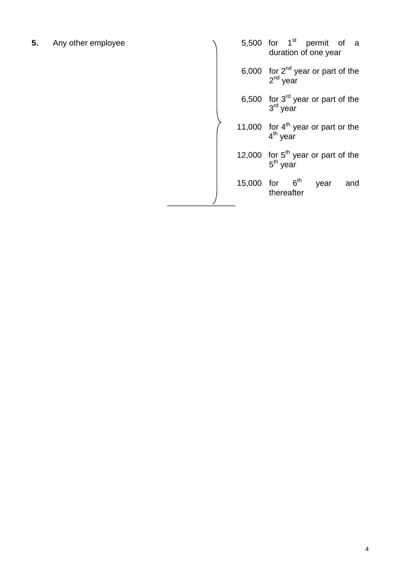**5.** Any other employee

|            | 5,500 for $1st$ permit of a<br>duration of one year  |
|------------|------------------------------------------------------|
|            | 6,000 for $2^{nd}$ year or part of the $2^{nd}$ year |
|            | 6,500 for $3^{rd}$ year or part of the<br>$3rd$ vear |
|            | 11,000 for $4th$ year or part or the<br>$4th$ year   |
|            | 12,000 for $5th$ year or part of the<br>$5th$ year   |
| 15,000 for | 6 <sup>th</sup><br>year<br>and<br>thereafter         |